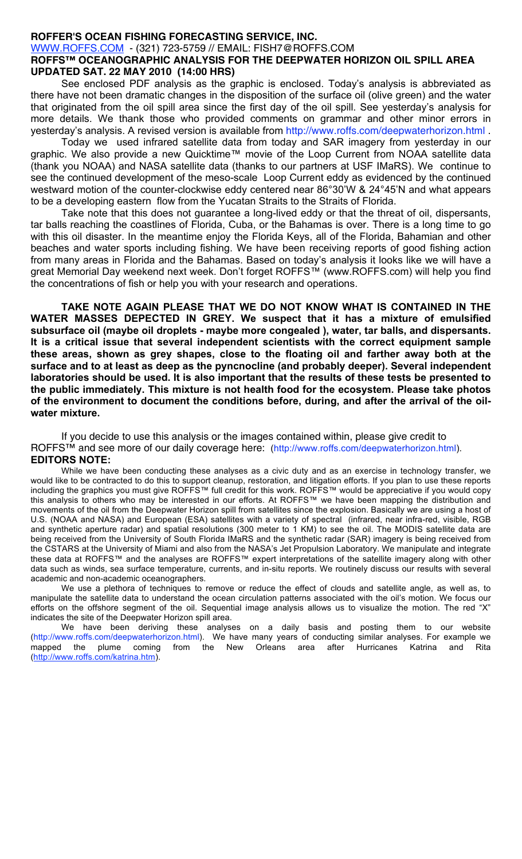## **ROFFER'S OCEAN FISHING FORECASTING SERVICE, INC.**

WWW.ROFFS.COM - (321) 723-5759 // EMAIL: FISH7@ROFFS.COM

## **ROFFS™ OCEANOGRAPHIC ANALYSIS FOR THE DEEPWATER HORIZON OIL SPILL AREA UPDATED SAT. 22 MAY 2010 (14:00 HRS)**

See enclosed PDF analysis as the graphic is enclosed. Today's analysis is abbreviated as there have not been dramatic changes in the disposition of the surface oil (olive green) and the water that originated from the oil spill area since the first day of the oil spill. See yesterday's analysis for more details. We thank those who provided comments on grammar and other minor errors in yesterday's analysis. A revised version is available from http://www.roffs.com/deepwaterhorizon.html .

Today we used infrared satellite data from today and SAR imagery from yesterday in our graphic. We also provide a new Quicktime™ movie of the Loop Current from NOAA satellite data (thank you NOAA) and NASA satellite data (thanks to our partners at USF IMaRS). We continue to see the continued development of the meso-scale Loop Current eddy as evidenced by the continued westward motion of the counter-clockwise eddy centered near 86°30'W & 24°45'N and what appears to be a developing eastern flow from the Yucatan Straits to the Straits of Florida.

Take note that this does not guarantee a long-lived eddy or that the threat of oil, dispersants, tar balls reaching the coastlines of Florida, Cuba, or the Bahamas is over. There is a long time to go with this oil disaster. In the meantime enjoy the Florida Keys, all of the Florida, Bahamian and other beaches and water sports including fishing. We have been receiving reports of good fishing action from many areas in Florida and the Bahamas. Based on today's analysis it looks like we will have a great Memorial Day weekend next week. Don't forget ROFFS™ (www.ROFFS.com) will help you find the concentrations of fish or help you with your research and operations.

**TAKE NOTE AGAIN PLEASE THAT WE DO NOT KNOW WHAT IS CONTAINED IN THE WATER MASSES DEPECTED IN GREY. We suspect that it has a mixture of emulsified subsurface oil (maybe oil droplets - maybe more congealed ), water, tar balls, and dispersants. It is a critical issue that several independent scientists with the correct equipment sample these areas, shown as grey shapes, close to the floating oil and farther away both at the surface and to at least as deep as the pyncnocline (and probably deeper). Several independent laboratories should be used. It is also important that the results of these tests be presented to the public immediately. This mixture is not health food for the ecosystem. Please take photos of the environment to document the conditions before, during, and after the arrival of the oilwater mixture.** 

If you decide to use this analysis or the images contained within, please give credit to ROFFS<sup>™</sup> and see more of our daily coverage here: (http://www.roffs.com/deepwaterhorizon.html). **EDITORS NOTE:**

While we have been conducting these analyses as a civic duty and as an exercise in technology transfer, we would like to be contracted to do this to support cleanup, restoration, and litigation efforts. If you plan to use these reports including the graphics you must give ROFFS™ full credit for this work. ROFFS™ would be appreciative if you would copy this analysis to others who may be interested in our efforts. At ROFFS™ we have been mapping the distribution and movements of the oil from the Deepwater Horizon spill from satellites since the explosion. Basically we are using a host of U.S. (NOAA and NASA) and European (ESA) satellites with a variety of spectral (infrared, near infra-red, visible, RGB and synthetic aperture radar) and spatial resolutions (300 meter to 1 KM) to see the oil. The MODIS satellite data are being received from the University of South Florida IMaRS and the synthetic radar (SAR) imagery is being received from the CSTARS at the University of Miami and also from the NASA's Jet Propulsion Laboratory. We manipulate and integrate these data at ROFFS™ and the analyses are ROFFS™ expert interpretations of the satellite imagery along with other data such as winds, sea surface temperature, currents, and in-situ reports. We routinely discuss our results with several academic and non-academic oceanographers.

We use a plethora of techniques to remove or reduce the effect of clouds and satellite angle, as well as, to manipulate the satellite data to understand the ocean circulation patterns associated with the oil's motion. We focus our efforts on the offshore segment of the oil. Sequential image analysis allows us to visualize the motion. The red "X" indicates the site of the Deepwater Horizon spill area.

We have been deriving these analyses on a daily basis and posting them to our website (http://www.roffs.com/deepwaterhorizon.html). We have many years of conducting similar analyses. For example we mapped the plume coming from the New Orleans area after Hurricanes Katrina and Rita (http://www.roffs.com/katrina.htm).